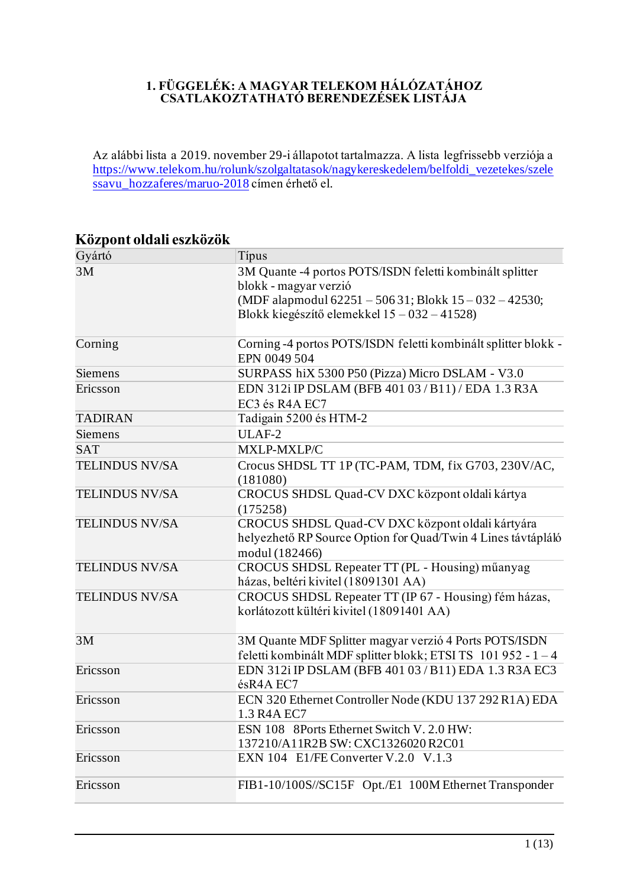#### **1. FÜGGELÉK: A MAGYAR TELEKOM HÁLÓZATÁHOZ CSATLAKOZTATHATÓ BERENDEZÉSEK LISTÁJA**

Az alábbi lista a 2019. november 29-i állapotot tartalmazza. A lista legfrissebb verziója a [https://www.telekom.hu/rolunk/szolgaltatasok/nagykereskedelem/belfoldi\\_vezetekes/szele](https://www.telekom.hu/rolunk/szolgaltatasok/nagykereskedelem/belfoldi_vezetekes/szelessavu_hozzaferes/maruo-2018) [ssavu\\_hozzaferes/maruo-2018](https://www.telekom.hu/rolunk/szolgaltatasok/nagykereskedelem/belfoldi_vezetekes/szelessavu_hozzaferes/maruo-2018) címen érhető el.

| Gyártó                | Típus                                                                                                                                                                                       |
|-----------------------|---------------------------------------------------------------------------------------------------------------------------------------------------------------------------------------------|
| 3M                    | 3M Quante -4 portos POTS/ISDN feletti kombinált splitter<br>blokk - magyar verzió<br>(MDF alapmodul 62251 - 506 31; Blokk 15 - 032 - 42530;<br>Blokk kiegészítő elemekkel 15 – 032 – 41528) |
|                       |                                                                                                                                                                                             |
| Corning               | Corning -4 portos POTS/ISDN feletti kombinált splitter blokk -<br>EPN 0049 504                                                                                                              |
| Siemens               | SURPASS hiX 5300 P50 (Pizza) Micro DSLAM - V3.0                                                                                                                                             |
| Ericsson              | EDN 312i IP DSLAM (BFB 401 03 / B11) / EDA 1.3 R3A<br>EC3 és R4A EC7                                                                                                                        |
| <b>TADIRAN</b>        | Tadigain 5200 és HTM-2                                                                                                                                                                      |
| Siemens               | ULAF-2                                                                                                                                                                                      |
| <b>SAT</b>            | MXLP-MXLP/C                                                                                                                                                                                 |
| TELINDUS NV/SA        | Crocus SHDSL TT 1P (TC-PAM, TDM, fix G703, 230V/AC,<br>(181080)                                                                                                                             |
| TELINDUS NV/SA        | CROCUS SHDSL Quad-CV DXC központ oldali kártya<br>(175258)                                                                                                                                  |
| <b>TELINDUS NV/SA</b> | CROCUS SHDSL Quad-CV DXC központ oldali kártyára<br>helyezhető RP Source Option for Quad/Twin 4 Lines távtápláló<br>modul (182466)                                                          |
| <b>TELINDUS NV/SA</b> | CROCUS SHDSL Repeater TT (PL - Housing) műanyag<br>házas, beltéri kivitel (18091301 AA)                                                                                                     |
| TELINDUS NV/SA        | CROCUS SHDSL Repeater TT (IP 67 - Housing) fém házas,<br>korlátozott kültéri kivitel (18091401 AA)                                                                                          |
| 3M                    | 3M Quante MDF Splitter magyar verzió 4 Ports POTS/ISDN<br>feletti kombinált MDF splitter blokk; ETSI TS 101 952 - 1 - 4                                                                     |
| Ericsson              | EDN 312i IP DSLAM (BFB 401 03 / B11) EDA 1.3 R3A EC3<br>ésR4A EC7                                                                                                                           |
| Ericsson              | ECN 320 Ethernet Controller Node (KDU 137 292 R1A) EDA<br>1.3 R4A EC7                                                                                                                       |
| Ericsson              | ESN 108 8Ports Ethernet Switch V. 2.0 HW:<br>137210/A11R2B SW: CXC1326020 R2C01                                                                                                             |
| Ericsson              | EXN 104 E1/FE Converter V.2.0 V.1.3                                                                                                                                                         |
| Ericsson              | FIB1-10/100S//SC15F Opt./E1 100M Ethernet Transponder                                                                                                                                       |

### **Központ oldali eszközök**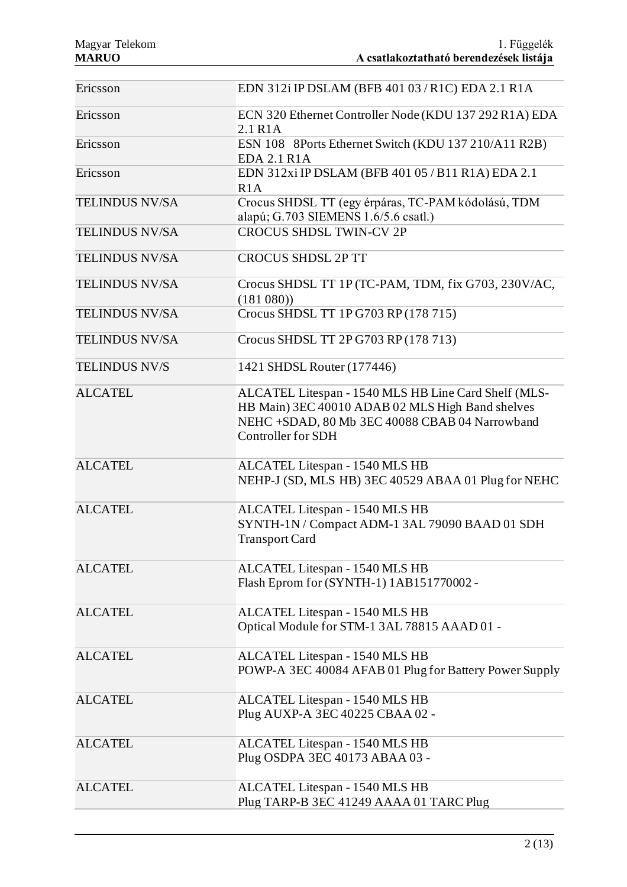| Ericsson              | EDN 312i IP DSLAM (BFB 401 03 / R1C) EDA 2.1 R1A                                                                                                                                 |
|-----------------------|----------------------------------------------------------------------------------------------------------------------------------------------------------------------------------|
| Ericsson              | ECN 320 Ethernet Controller Node (KDU 137 292 R1A) EDA<br>2.1 R <sub>1</sub> A                                                                                                   |
| Ericsson              | ESN 108 8Ports Ethernet Switch (KDU 137 210/A11 R2B)<br><b>EDA 2.1 R1A</b>                                                                                                       |
| Ericsson              | EDN 312xi IP DSLAM (BFB 401 05 / B11 R1A) EDA 2.1<br>R1A                                                                                                                         |
| <b>TELINDUS NV/SA</b> | Crocus SHDSL TT (egy érpáras, TC-PAM kódolású, TDM<br>alapú; G.703 SIEMENS 1.6/5.6 csatl.)                                                                                       |
| <b>TELINDUS NV/SA</b> | <b>CROCUS SHDSL TWIN-CV 2P</b>                                                                                                                                                   |
| <b>TELINDUS NV/SA</b> | <b>CROCUS SHDSL 2P TT</b>                                                                                                                                                        |
| <b>TELINDUS NV/SA</b> | Crocus SHDSL TT 1P (TC-PAM, TDM, fix G703, 230V/AC,<br>(181 080)                                                                                                                 |
| <b>TELINDUS NV/SA</b> | Crocus SHDSL TT 1P G703 RP (178 715)                                                                                                                                             |
| <b>TELINDUS NV/SA</b> | Crocus SHDSL TT 2P G703 RP (178 713)                                                                                                                                             |
| <b>TELINDUS NV/S</b>  | 1421 SHDSL Router (177446)                                                                                                                                                       |
| <b>ALCATEL</b>        | ALCATEL Litespan - 1540 MLS HB Line Card Shelf (MLS-<br>HB Main) 3EC 40010 ADAB 02 MLS High Band shelves<br>NEHC +SDAD, 80 Mb 3EC 40088 CBAB 04 Narrowband<br>Controller for SDH |
| <b>ALCATEL</b>        | ALCATEL Litespan - 1540 MLS HB<br>NEHP-J (SD, MLS HB) 3EC 40529 ABAA 01 Plug for NEHC                                                                                            |
| <b>ALCATEL</b>        | ALCATEL Litespan - 1540 MLS HB<br>SYNTH-1N / Compact ADM-1 3AL 79090 BAAD 01 SDH<br><b>Transport Card</b>                                                                        |
| <b>ALCATEL</b>        | ALCATEL Litespan - 1540 MLS HB<br>Flash Eprom for (SYNTH-1) 1AB151770002 -                                                                                                       |
| <b>ALCATEL</b>        | ALCATEL Litespan - 1540 MLS HB<br>Optical Module for STM-1 3AL 78815 AAAD 01 -                                                                                                   |
| <b>ALCATEL</b>        | ALCATEL Litespan - 1540 MLS HB<br>POWP-A 3EC 40084 AFAB 01 Plug for Battery Power Supply                                                                                         |
| <b>ALCATEL</b>        | ALCATEL Litespan - 1540 MLS HB<br>Plug AUXP-A 3EC 40225 CBAA 02 -                                                                                                                |
| <b>ALCATEL</b>        | ALCATEL Litespan - 1540 MLS HB<br>Plug OSDPA 3EC 40173 ABAA 03 -                                                                                                                 |
| <b>ALCATEL</b>        | ALCATEL Litespan - 1540 MLS HB<br>Plug TARP-B 3EC 41249 AAAA 01 TARC Plug                                                                                                        |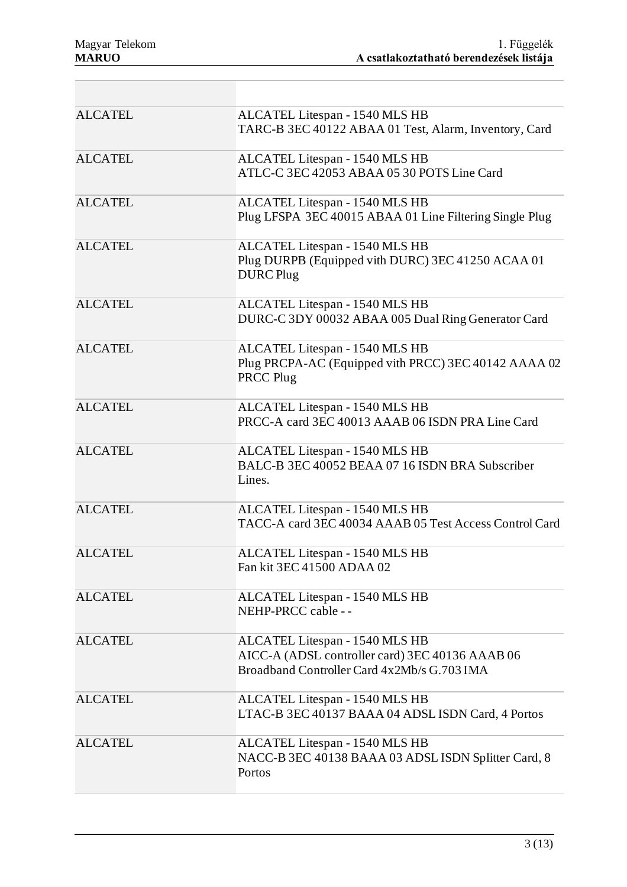| <b>ALCATEL</b> | ALCATEL Litespan - 1540 MLS HB<br>TARC-B 3EC 40122 ABAA 01 Test, Alarm, Inventory, Card                                          |
|----------------|----------------------------------------------------------------------------------------------------------------------------------|
| <b>ALCATEL</b> | ALCATEL Litespan - 1540 MLS HB<br>ATLC-C 3EC 42053 ABAA 05 30 POTS Line Card                                                     |
| <b>ALCATEL</b> | ALCATEL Litespan - 1540 MLS HB<br>Plug LFSPA 3EC 40015 ABAA 01 Line Filtering Single Plug                                        |
| <b>ALCATEL</b> | ALCATEL Litespan - 1540 MLS HB<br>Plug DURPB (Equipped vith DURC) 3EC 41250 ACAA 01<br><b>DURC</b> Plug                          |
| <b>ALCATEL</b> | ALCATEL Litespan - 1540 MLS HB<br>DURC-C 3DY 00032 ABAA 005 Dual Ring Generator Card                                             |
| <b>ALCATEL</b> | ALCATEL Litespan - 1540 MLS HB<br>Plug PRCPA-AC (Equipped vith PRCC) 3EC 40142 AAAA 02<br>PRCC Plug                              |
| <b>ALCATEL</b> | ALCATEL Litespan - 1540 MLS HB<br>PRCC-A card 3EC 40013 AAAB 06 ISDN PRA Line Card                                               |
| <b>ALCATEL</b> | ALCATEL Litespan - 1540 MLS HB<br>BALC-B 3EC 40052 BEAA 07 16 ISDN BRA Subscriber<br>Lines.                                      |
| <b>ALCATEL</b> | ALCATEL Litespan - 1540 MLS HB<br>TACC-A card 3EC 40034 AAAB 05 Test Access Control Card                                         |
| <b>ALCATEL</b> | ALCATEL Litespan - 1540 MLS HB<br>Fan kit 3EC 41500 ADAA 02                                                                      |
| <b>ALCATEL</b> | ALCATEL Litespan - 1540 MLS HB<br>NEHP-PRCC cable --                                                                             |
| <b>ALCATEL</b> | ALCATEL Litespan - 1540 MLS HB<br>AICC-A (ADSL controller card) 3EC 40136 AAAB 06<br>Broadband Controller Card 4x2Mb/s G.703 IMA |
| <b>ALCATEL</b> | ALCATEL Litespan - 1540 MLS HB<br>LTAC-B 3EC 40137 BAAA 04 ADSL ISDN Card, 4 Portos                                              |
| <b>ALCATEL</b> | ALCATEL Litespan - 1540 MLS HB<br>NACC-B 3EC 40138 BAAA 03 ADSL ISDN Splitter Card, 8<br>Portos                                  |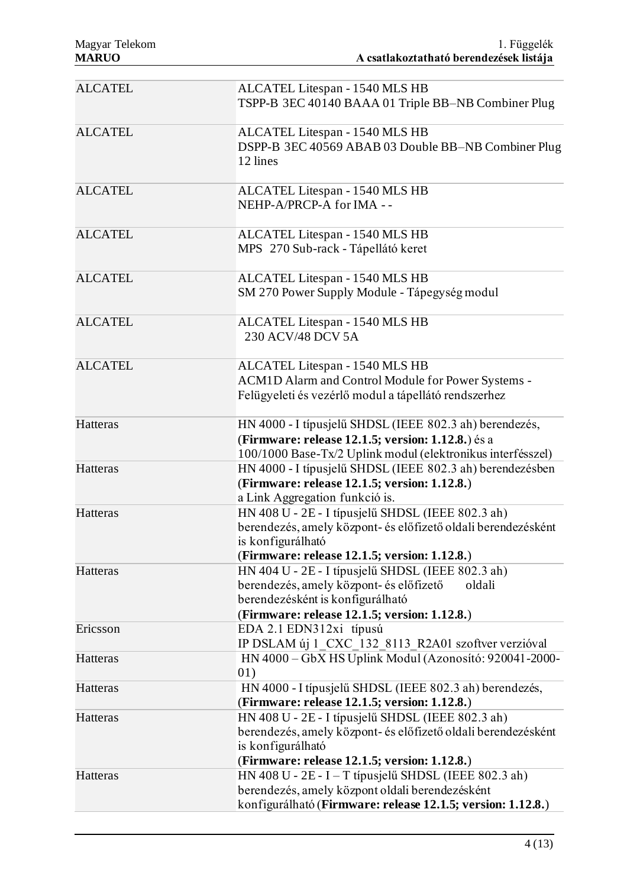| <b>ALCATEL</b>  | ALCATEL Litespan - 1540 MLS HB<br>TSPP-B 3EC 40140 BAAA 01 Triple BB-NB Combiner Plug                                                                                                      |
|-----------------|--------------------------------------------------------------------------------------------------------------------------------------------------------------------------------------------|
| <b>ALCATEL</b>  | ALCATEL Litespan - 1540 MLS HB<br>DSPP-B 3EC 40569 ABAB 03 Double BB-NB Combiner Plug<br>12 lines                                                                                          |
| <b>ALCATEL</b>  | ALCATEL Litespan - 1540 MLS HB<br>NEHP-A/PRCP-A for IMA --                                                                                                                                 |
| <b>ALCATEL</b>  | ALCATEL Litespan - 1540 MLS HB<br>MPS 270 Sub-rack - Tápellátó keret                                                                                                                       |
| <b>ALCATEL</b>  | ALCATEL Litespan - 1540 MLS HB<br>SM 270 Power Supply Module - Tápegység modul                                                                                                             |
| <b>ALCATEL</b>  | ALCATEL Litespan - 1540 MLS HB<br>230 ACV/48 DCV 5A                                                                                                                                        |
| <b>ALCATEL</b>  | ALCATEL Litespan - 1540 MLS HB<br>ACM1D Alarm and Control Module for Power Systems -<br>Felügyeleti és vezérlő modul a tápellátó rendszerhez                                               |
| Hatteras        | HN 4000 - I típusjelű SHDSL (IEEE 802.3 ah) berendezés,<br>(Firmware: release 12.1.5; version: 1.12.8.) és a<br>100/1000 Base-Tx/2 Uplink modul (elektronikus interfésszel)                |
| Hatteras        | HN 4000 - I típusjelű SHDSL (IEEE 802.3 ah) berendezésben<br>(Firmware: release 12.1.5; version: 1.12.8.)<br>a Link Aggregation funkció is.                                                |
| <b>Hatteras</b> | HN 408 U - 2E - I típusjelű SHDSL (IEEE 802.3 ah)<br>berendezés, amely központ- és előfizető oldali berendezésként<br>is konfigurálható<br>(Firmware: release 12.1.5; version: 1.12.8.)    |
| Hatteras        | HN 404 U - 2E - I típusjelű SHDSL (IEEE 802.3 ah)<br>berendezés, amely központ- és előfizető<br>oldali<br>berendezésként is konfigurálható<br>(Firmware: release 12.1.5; version: 1.12.8.) |
| Ericsson        | EDA 2.1 EDN312xi típusú<br>IP DSLAM új 1 CXC 132 8113 R2A01 szoftver verzióval                                                                                                             |
| Hatteras        | HN 4000 - GbX HS Uplink Modul (Azonosító: 920041-2000-<br>01)                                                                                                                              |
| Hatteras        | HN 4000 - I típusjelű SHDSL (IEEE 802.3 ah) berendezés,<br>(Firmware: release 12.1.5; version: 1.12.8.)                                                                                    |
| Hatteras        | HN 408 U - 2E - I típusjelű SHDSL (IEEE 802.3 ah)<br>berendezés, amely központ- és előfizető oldali berendezésként<br>is konfigurálható<br>(Firmware: release 12.1.5; version: 1.12.8.)    |
| Hatteras        | HN 408 U - $2E - I - T$ típusjelű SHDSL (IEEE 802.3 ah)<br>berendezés, amely központ oldali berendezésként<br>konfigurálható (Firmware: release 12.1.5; version: 1.12.8.)                  |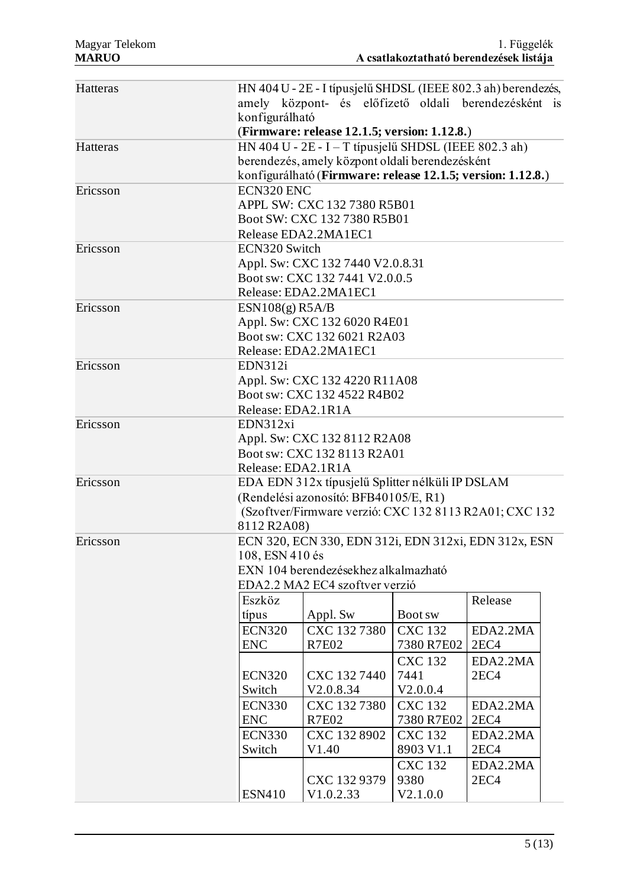| Hatteras |                                                        | HN 404 U - 2E - I típusjelű SHDSL (IEEE 802.3 ah) berendezés, |                |                  |  |  |
|----------|--------------------------------------------------------|---------------------------------------------------------------|----------------|------------------|--|--|
|          |                                                        | amely központ- és előfizető oldali berendezésként is          |                |                  |  |  |
|          | konfigurálható                                         |                                                               |                |                  |  |  |
|          |                                                        | (Firmware: release 12.1.5; version: 1.12.8.)                  |                |                  |  |  |
| Hatteras |                                                        | HN 404 U - $2E - I - T$ típusjelű SHDSL (IEEE 802.3 ah)       |                |                  |  |  |
|          |                                                        | berendezés, amely központ oldali berendezésként               |                |                  |  |  |
|          |                                                        | konfigurálható (Firmware: release 12.1.5; version: 1.12.8.)   |                |                  |  |  |
| Ericsson | ECN320 ENC                                             |                                                               |                |                  |  |  |
|          |                                                        | APPL SW: CXC 132 7380 R5B01                                   |                |                  |  |  |
|          |                                                        | Boot SW: CXC 132 7380 R5B01                                   |                |                  |  |  |
|          |                                                        | Release EDA2.2MA1EC1                                          |                |                  |  |  |
| Ericsson | ECN320 Switch                                          |                                                               |                |                  |  |  |
|          |                                                        | Appl. Sw: CXC 132 7440 V2.0.8.31                              |                |                  |  |  |
|          |                                                        | Boot sw: CXC 132 7441 V2.0.0.5                                |                |                  |  |  |
|          |                                                        | Release: EDA2.2MA1EC1                                         |                |                  |  |  |
| Ericsson | ESN108(g) R5A/B                                        |                                                               |                |                  |  |  |
|          |                                                        | Appl. Sw: CXC 132 6020 R4E01                                  |                |                  |  |  |
|          |                                                        | Boot sw: CXC 132 6021 R2A03                                   |                |                  |  |  |
|          |                                                        | Release: EDA2.2MA1EC1                                         |                |                  |  |  |
| Ericsson | EDN312i                                                |                                                               |                |                  |  |  |
|          |                                                        | Appl. Sw: CXC 132 4220 R11A08                                 |                |                  |  |  |
|          |                                                        | Boot sw: CXC 132 4522 R4B02                                   |                |                  |  |  |
|          | Release: EDA2.1R1A                                     |                                                               |                |                  |  |  |
| Ericsson | EDN312xi                                               |                                                               |                |                  |  |  |
|          | Appl. Sw: CXC 132 8112 R2A08                           |                                                               |                |                  |  |  |
|          |                                                        | Boot sw: CXC 132 8113 R2A01                                   |                |                  |  |  |
|          | Release: EDA2.1R1A                                     |                                                               |                |                  |  |  |
| Ericsson |                                                        | EDA EDN 312x típusjelű Splitter nélküli IP DSLAM              |                |                  |  |  |
|          | (Rendelési azonosító: BFB40105/E, R1)                  |                                                               |                |                  |  |  |
|          | (Szoftver/Firmware verzió: CXC 132 8113 R2A01; CXC 132 |                                                               |                |                  |  |  |
|          | 8112 R2A08)                                            |                                                               |                |                  |  |  |
| Ericsson | ECN 320, ECN 330, EDN 312i, EDN 312xi, EDN 312x, ESN   |                                                               |                |                  |  |  |
|          | 108, ESN 410 és                                        |                                                               |                |                  |  |  |
|          | EXN 104 berendezésekhez alkalmazható                   |                                                               |                |                  |  |  |
|          |                                                        | EDA2.2 MA2 EC4 szoftver verzió                                |                |                  |  |  |
|          | Eszköz                                                 |                                                               |                | Release          |  |  |
|          | típus                                                  | Appl. Sw                                                      | Boot sw        |                  |  |  |
|          | <b>ECN320</b>                                          | CXC 132 7380                                                  | <b>CXC 132</b> | EDA2.2MA         |  |  |
|          | <b>ENC</b>                                             | <b>R7E02</b>                                                  | 7380 R7E02     | 2EC4             |  |  |
|          |                                                        |                                                               | <b>CXC 132</b> | EDA2.2MA         |  |  |
|          | <b>ECN320</b>                                          | CXC 132 7440                                                  | 7441           | 2EC4             |  |  |
|          | Switch                                                 | V2.0.8.34                                                     | V2.0.0.4       |                  |  |  |
|          | <b>ECN330</b>                                          | CXC 1327380                                                   | <b>CXC 132</b> | EDA2.2MA         |  |  |
|          | <b>ENC</b>                                             | <b>R7E02</b>                                                  | 7380 R7E02     | 2EC4             |  |  |
|          | <b>ECN330</b>                                          | CXC 132 8902                                                  | <b>CXC 132</b> | EDA2.2MA         |  |  |
|          | Switch                                                 | V1.40                                                         | 8903 V1.1      | 2EC <sub>4</sub> |  |  |
|          |                                                        |                                                               | <b>CXC 132</b> | EDA2.2MA         |  |  |
|          |                                                        | CXC 132 9379                                                  | 9380           | 2EC4             |  |  |
|          | <b>ESN410</b>                                          | V1.0.2.33                                                     | V2.1.0.0       |                  |  |  |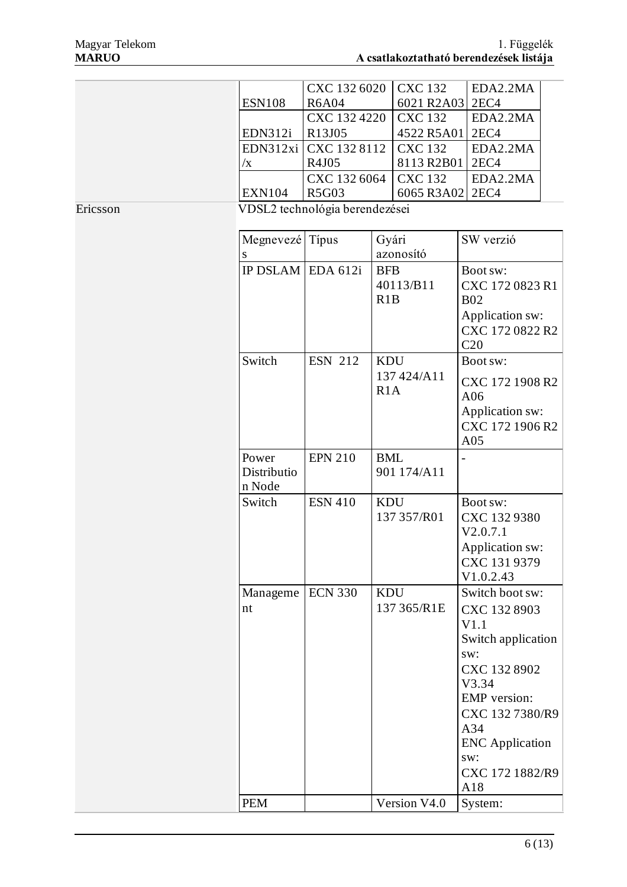|          |                     | CXC 132 6020                   |            | <b>CXC 132</b>  | EDA2.2MA               |  |
|----------|---------------------|--------------------------------|------------|-----------------|------------------------|--|
|          | <b>ESN108</b>       | <b>R6A04</b>                   |            | 6021 R2A03 2EC4 |                        |  |
|          |                     | CXC 132 4220                   |            | <b>CXC 132</b>  | EDA2.2MA               |  |
|          | EDN312i             | R13J05                         |            | 4522 R5A01      | 2EC <sub>4</sub>       |  |
|          | EDN312xi            | CXC 132 8112                   |            | <b>CXC 132</b>  | EDA2.2MA               |  |
|          | $\sqrt{x}$          | R4J05                          |            | 8113 R2B01      | 2EC <sub>4</sub>       |  |
|          |                     | CXC 132 6064                   |            | <b>CXC 132</b>  | EDA2.2MA               |  |
|          | <b>EXN104</b>       | <b>R5G03</b>                   |            | 6065 R3A02      | 2EC <sub>4</sub>       |  |
| Ericsson |                     | VDSL2 technológia berendezései |            |                 |                        |  |
|          |                     |                                |            |                 |                        |  |
|          | Megnevezé Típus     |                                | Gyári      |                 | SW verzió              |  |
|          | S                   |                                |            | azonosító       |                        |  |
|          | IP DSLAM EDA $612i$ |                                | <b>BFB</b> |                 | Boot sw:               |  |
|          |                     |                                |            | 40113/B11       | CXC 172 0823 R1        |  |
|          |                     |                                | R1B        |                 | <b>B02</b>             |  |
|          |                     |                                |            |                 | Application sw:        |  |
|          |                     |                                |            |                 | CXC 172 0822 R2        |  |
|          |                     |                                |            |                 | C20                    |  |
|          | Switch              | <b>ESN 212</b>                 | <b>KDU</b> |                 | Boot sw:               |  |
|          |                     |                                |            | 137 424/A11     |                        |  |
|          |                     |                                | R1A        |                 | CXC 172 1908 R2        |  |
|          |                     |                                |            |                 | A06                    |  |
|          |                     |                                |            |                 | Application sw:        |  |
|          |                     |                                |            |                 | CXC 172 1906 R2        |  |
|          |                     |                                |            |                 | A05                    |  |
|          | Power               | <b>EPN 210</b>                 | <b>BML</b> |                 |                        |  |
|          | Distributio         |                                |            | 901 174/A11     |                        |  |
|          | n Node              |                                |            |                 |                        |  |
|          | Switch              | <b>ESN 410</b>                 | <b>KDU</b> |                 | Boot sw:               |  |
|          |                     |                                |            | 137 357/R01     | CXC 132 9380           |  |
|          |                     |                                |            |                 | V2.0.7.1               |  |
|          |                     |                                |            |                 | Application sw:        |  |
|          |                     |                                |            |                 | CXC 131 9379           |  |
|          |                     |                                |            |                 | V1.0.2.43              |  |
|          | Manageme            | <b>ECN 330</b>                 | <b>KDU</b> |                 | Switch boot sw:        |  |
|          | nt                  |                                |            | 137 365/R1E     | CXC 132 8903           |  |
|          |                     |                                |            |                 | V1.1                   |  |
|          |                     |                                |            |                 | Switch application     |  |
|          |                     |                                |            |                 | sw:                    |  |
|          |                     |                                |            |                 | CXC 132 8902           |  |
|          |                     |                                |            |                 | V3.34                  |  |
|          |                     |                                |            |                 | <b>EMP</b> version:    |  |
|          |                     |                                |            |                 | CXC 132 7380/R9        |  |
|          |                     |                                |            |                 | A34                    |  |
|          |                     |                                |            |                 | <b>ENC</b> Application |  |
|          |                     |                                |            |                 | sw:                    |  |
|          |                     |                                |            |                 | CXC 172 1882/R9        |  |
|          |                     |                                |            |                 | A18                    |  |
|          | <b>PEM</b>          |                                |            | Version V4.0    | System:                |  |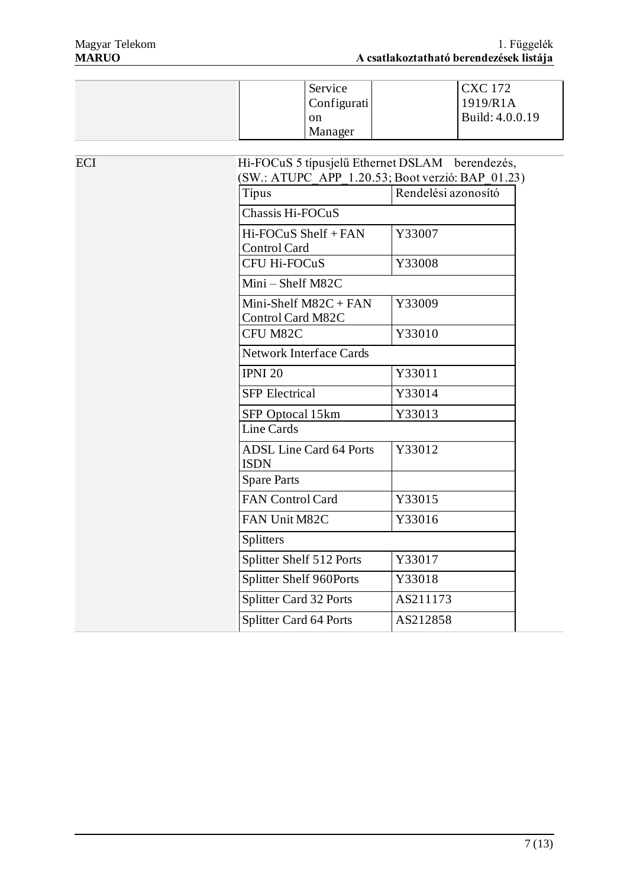| Service<br>Configurati | <b>CXC</b> 172<br>1919/R1A |
|------------------------|----------------------------|
| on<br>Manager          | Build: 4.0.0.19            |

| <b>ECI</b> | Hi-FOCuS 5 típusjelű Ethernet DSLAM berendezés,                |                     |  |  |
|------------|----------------------------------------------------------------|---------------------|--|--|
|            | $(SW.: ATUPC$ APP $1.20.53$ ; Boot verzió: BAP 01.23)<br>Típus | Rendelési azonosító |  |  |
|            | Chassis Hi-FOCuS                                               |                     |  |  |
|            | Hi-FOCuS Shelf + FAN<br>Control Card                           | Y33007              |  |  |
|            | CFU Hi-FOCuS                                                   | Y33008              |  |  |
|            | Mini-Shelf M82C                                                |                     |  |  |
|            | Mini-Shelf M82C + FAN<br>Control Card M82C                     | Y33009              |  |  |
|            | CFU M82C                                                       | Y33010              |  |  |
|            | <b>Network Interface Cards</b>                                 |                     |  |  |
|            | <b>IPNI 20</b>                                                 | Y33011              |  |  |
|            | <b>SFP</b> Electrical                                          | Y33014              |  |  |
|            | SFP Optocal 15km                                               | Y33013              |  |  |
|            | Line Cards                                                     |                     |  |  |
|            | <b>ADSL Line Card 64 Ports</b><br><b>ISDN</b>                  | Y33012              |  |  |
|            | <b>Spare Parts</b>                                             |                     |  |  |
|            | FAN Control Card                                               | Y33015              |  |  |
|            | FAN Unit M82C                                                  | Y33016              |  |  |
|            | Splitters                                                      |                     |  |  |
|            | Splitter Shelf 512 Ports                                       | Y33017              |  |  |
|            | Splitter Shelf 960Ports                                        | Y33018              |  |  |
|            | Splitter Card 32 Ports                                         | AS211173            |  |  |
|            | Splitter Card 64 Ports                                         | AS212858            |  |  |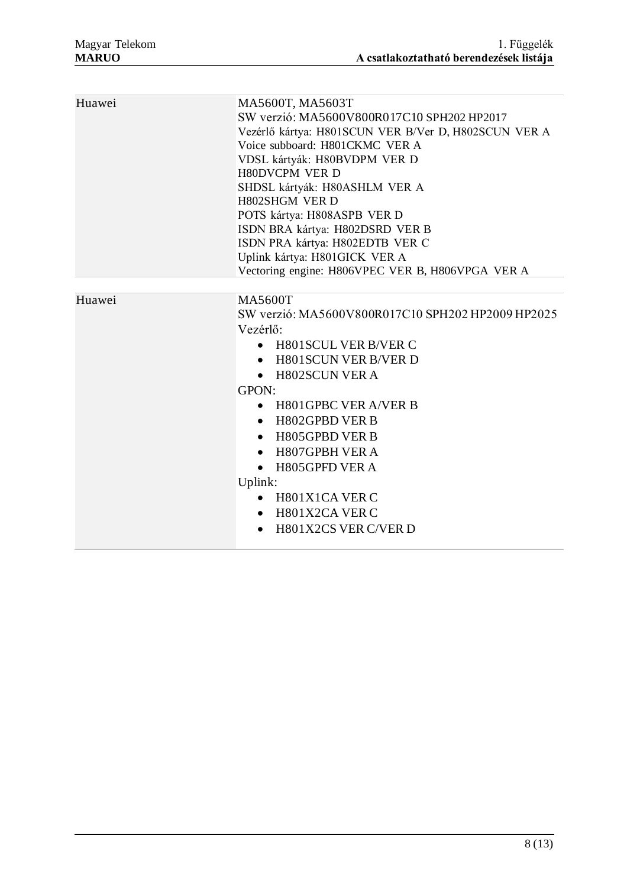| Huawei | MA5600T, MA5603T<br>SW verzió: MA5600V800R017C10 SPH202 HP2017<br>Vezérlő kártya: H801SCUN VER B/Ver D, H802SCUN VER A<br>Voice subboard: H801CKMC VER A<br>VDSL kártyák: H80BVDPM VER D<br><b>H80DVCPM VER D</b><br>SHDSL kártyák: H80ASHLM VER A<br><b>H802SHGM VER D</b>                                                                                                                                                                                                          |
|--------|--------------------------------------------------------------------------------------------------------------------------------------------------------------------------------------------------------------------------------------------------------------------------------------------------------------------------------------------------------------------------------------------------------------------------------------------------------------------------------------|
|        | POTS kártya: H808ASPB VER D<br>ISDN BRA kártya: H802DSRD VER B<br>ISDN PRA kártya: H802EDTB VER C<br>Uplink kártya: H801GICK VER A<br>Vectoring engine: H806VPEC VER B, H806VPGA VER A                                                                                                                                                                                                                                                                                               |
|        |                                                                                                                                                                                                                                                                                                                                                                                                                                                                                      |
| Huawei | <b>MA5600T</b><br>SW verzió: MA5600V800R017C10 SPH202 HP2009 HP2025<br>Vezérlő:<br><b>H801SCUL VER B/VER C</b><br>$\bullet$<br><b>H801SCUN VER B/VER D</b><br>$\bullet$<br>• H802SCUN VER A<br>GPON:<br>H801GPBC VER A/VER B<br>$\bullet$<br><b>H802GPBD VER B</b><br>$\bullet$<br>H805GPBD VER B<br>$\bullet$<br>H807GPBH VER A<br>$\bullet$<br>H805GPFD VER A<br>$\bullet$<br>Uplink:<br>H801X1CA VER C<br>$\bullet$<br>H801X2CA VER C<br>$\bullet$<br><b>H801X2CS VER C/VER D</b> |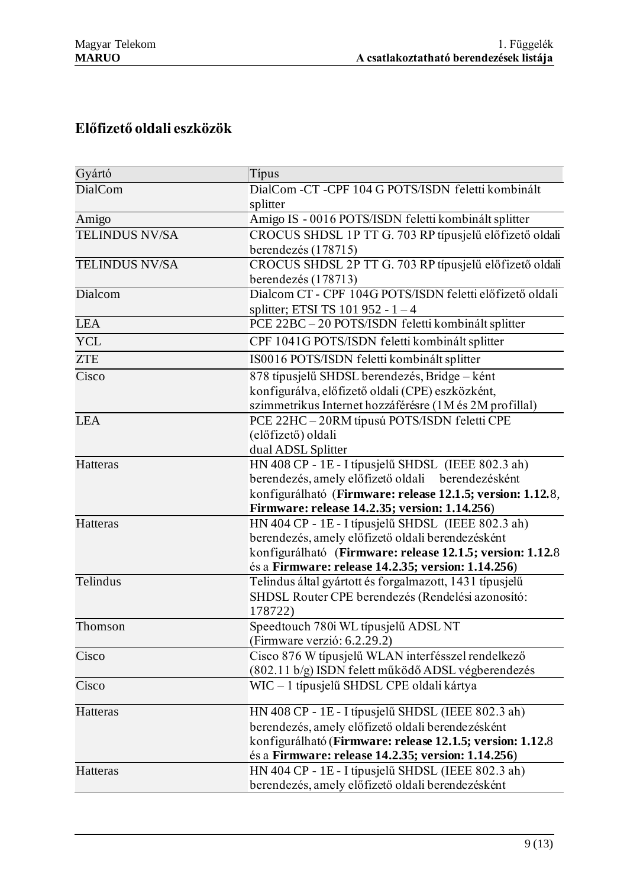# **Előfizető oldali eszközök**

| Gyártó                | Típus                                                               |
|-----------------------|---------------------------------------------------------------------|
| DialCom               | DialCom -CT -CPF 104 G POTS/ISDN feletti kombinált                  |
|                       | splitter                                                            |
| Amigo                 | Amigo IS - 0016 POTS/ISDN feletti kombinált splitter                |
| <b>TELINDUS NV/SA</b> | CROCUS SHDSL 1P TT G. 703 RP típusjelű előfizető oldali             |
|                       | berendezés (178715)                                                 |
| <b>TELINDUS NV/SA</b> | CROCUS SHDSL 2P TT G. 703 RP típusjelű előfizető oldali             |
|                       | berendezés (178713)                                                 |
| Dialcom               | Dialcom CT - CPF 104G POTS/ISDN feletti előfizető oldali            |
|                       | splitter; ETSI TS 101 952 - $1 - 4$                                 |
| <b>LEA</b>            | PCE 22BC - 20 POTS/ISDN feletti kombinált splitter                  |
| <b>YCL</b>            | CPF 1041G POTS/ISDN feletti kombinált splitter                      |
| <b>ZTE</b>            | IS0016 POTS/ISDN feletti kombinált splitter                         |
| Cisco                 | 878 típusjelű SHDSL berendezés, Bridge – ként                       |
|                       | konfigurálva, előfizető oldali (CPE) eszközként,                    |
|                       | szimmetrikus Internet hozzáférésre (1M és 2M profillal)             |
| <b>LEA</b>            | PCE 22HC - 20RM típusú POTS/ISDN feletti CPE                        |
|                       | (előfizető) oldali                                                  |
|                       | dual ADSL Splitter                                                  |
| Hatteras              | HN 408 CP - 1E - I típusjelű SHDSL (IEEE 802.3 ah)                  |
|                       | berendezés, amely előfizető oldali berendezésként                   |
|                       | konfigurálható (Firmware: release 12.1.5; version: 1.12.8,          |
|                       | Firmware: release 14.2.35; version: 1.14.256)                       |
| Hatteras              | HN 404 CP - 1E - I típusjelű SHDSL (IEEE 802.3 ah)                  |
|                       | berendezés, amely előfizető oldali berendezésként                   |
|                       | konfigurálható (Firmware: release 12.1.5; version: 1.12.8           |
|                       | és a Firmware: release 14.2.35; version: 1.14.256)                  |
| Telindus              | Telindus által gyártott és forgalmazott, 1431 típusjelű             |
|                       | SHDSL Router CPE berendezés (Rendelési azonosító:                   |
|                       | 178722)                                                             |
| Thomson               | Speedtouch 780i WL típusjelű ADSL NT<br>(Firmware verzió: 6.2.29.2) |
| Cisco                 | Cisco 876 W típusjelű WLAN interfésszel rendelkező                  |
|                       | (802.11 b/g) ISDN felett működő ADSL végberendezés                  |
| Cisco                 | WIC - 1 típusjelű SHDSL CPE oldali kártya                           |
|                       |                                                                     |
| Hatteras              | HN 408 CP - 1E - I típusjelű SHDSL (IEEE 802.3 ah)                  |
|                       | berendezés, amely előfizető oldali berendezésként                   |
|                       | konfigurálható (Firmware: release 12.1.5; version: 1.12.8           |
|                       | és a Firmware: release 14.2.35; version: 1.14.256)                  |
| Hatteras              | HN 404 CP - 1E - I típusjelű SHDSL (IEEE 802.3 ah)                  |
|                       | berendezés, amely előfizető oldali berendezésként                   |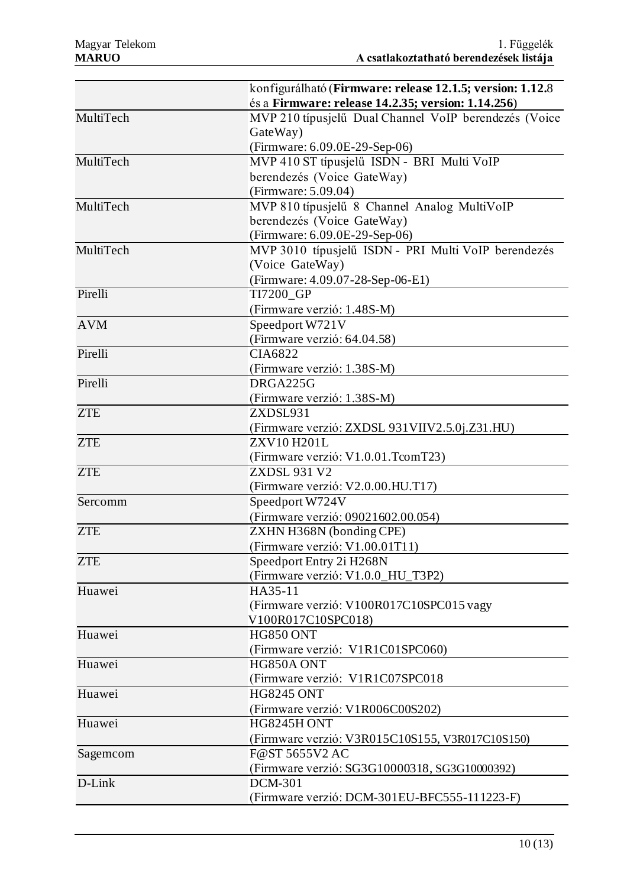|            | konfigurálható (Firmware: release 12.1.5; version: 1.12.8)<br>és a Firmware: release 14.2.35; version: 1.14.256) |
|------------|------------------------------------------------------------------------------------------------------------------|
| MultiTech  | MVP 210 típusjelű Dual Channel VoIP berendezés (Voice                                                            |
|            | GateWay)                                                                                                         |
|            | (Firmware: 6.09.0E-29-Sep-06)                                                                                    |
| MultiTech  | MVP 410 ST típusjelű ISDN - BRI Multi VoIP                                                                       |
|            | berendezés (Voice GateWay)                                                                                       |
|            | (Firmware: 5.09.04)                                                                                              |
| MultiTech  | MVP 810 típusjelű 8 Channel Analog MultiVoIP                                                                     |
|            | berendezés (Voice GateWay)                                                                                       |
|            | (Firmware: 6.09.0E-29-Sep-06)                                                                                    |
| MultiTech  | MVP 3010 típusjelű ISDN - PRI Multi VoIP berendezés                                                              |
|            | (Voice GateWay)                                                                                                  |
|            | (Firmware: 4.09.07-28-Sep-06-E1)                                                                                 |
| Pirelli    | <b>TI7200 GP</b>                                                                                                 |
|            | (Firmware verzió: 1.48S-M)                                                                                       |
| <b>AVM</b> | Speedport W721V                                                                                                  |
|            | (Firmware verzió: 64.04.58)                                                                                      |
| Pirelli    | CIA6822                                                                                                          |
|            | (Firmware verzió: 1.38S-M)                                                                                       |
| Pirelli    | DRGA225G                                                                                                         |
|            | (Firmware verzió: 1.38S-M)                                                                                       |
| <b>ZTE</b> | ZXDSL931                                                                                                         |
|            | (Firmware verzió: ZXDSL 931VIIV2.5.0j.Z31.HU)                                                                    |
| <b>ZTE</b> | ZXV10H201L                                                                                                       |
|            | (Firmware verzió: V1.0.01.TcomT23)                                                                               |
| <b>ZTE</b> | <b>ZXDSL 931 V2</b>                                                                                              |
|            | (Firmware verzió: V2.0.00.HU.T17)                                                                                |
| Sercomm    | Speedport W724V                                                                                                  |
|            | (Firmware verzió: 09021602.00.054)                                                                               |
| <b>ZTE</b> | ZXHN H368N (bonding CPE)                                                                                         |
|            | (Firmware verzió: V1.00.01T11)                                                                                   |
| <b>ZTE</b> | Speedport Entry 2i H268N                                                                                         |
|            | (Firmware verzió: V1.0.0_HU_T3P2)                                                                                |
| Huawei     | HA35-11                                                                                                          |
|            | (Firmware verzió: V100R017C10SPC015 vagy                                                                         |
|            | V100R017C10SPC018)                                                                                               |
| Huawei     | <b>HG850 ONT</b>                                                                                                 |
|            | (Firmware verzió: V1R1C01SPC060)                                                                                 |
| Huawei     | HG850A ONT                                                                                                       |
|            | (Firmware verzió: V1R1C07SPC018                                                                                  |
| Huawei     | <b>HG8245 ONT</b>                                                                                                |
|            | (Firmware verzió: V1R006C00S202)                                                                                 |
| Huawei     | HG8245H ONT                                                                                                      |
|            | (Firmware verzió: V3R015C10S155, V3R017C10S150)                                                                  |
| Sagemcom   | F@ST 5655V2 AC                                                                                                   |
|            | (Firmware verzió: SG3G10000318, SG3G10000392)                                                                    |
| D-Link     | <b>DCM-301</b>                                                                                                   |
|            | (Firmware verzió: DCM-301EU-BFC555-111223-F)                                                                     |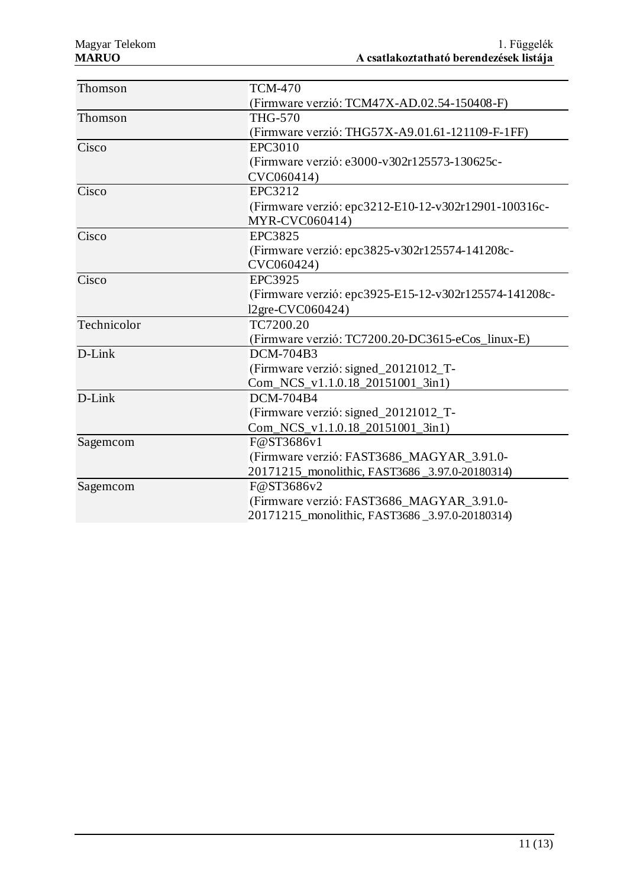| Thomson     | <b>TCM-470</b>                                        |
|-------------|-------------------------------------------------------|
|             | (Firmware verzió: TCM47X-AD.02.54-150408-F)           |
| Thomson     | <b>THG-570</b>                                        |
|             | (Firmware verzió: THG57X-A9.01.61-121109-F-1FF)       |
| Cisco       | <b>EPC3010</b>                                        |
|             | (Firmware verzió: e3000-v302r125573-130625c-          |
|             | CVC060414)                                            |
| Cisco       | EPC3212                                               |
|             | (Firmware verzió: epc3212-E10-12-v302r12901-100316c-  |
|             | MYR-CVC060414)                                        |
| Cisco       | EPC3825                                               |
|             | (Firmware verzió: epc3825-v302r125574-141208c-        |
|             | CVC060424)                                            |
| Cisco       | <b>EPC3925</b>                                        |
|             | (Firmware verzió: epc3925-E15-12-v302r125574-141208c- |
|             | 12gre-CVC060424)                                      |
| Technicolor | TC7200.20                                             |
|             | (Firmware verzió: TC7200.20-DC3615-eCos_linux-E)      |
| D-Link      | DCM-704B3                                             |
|             | (Firmware verzió: signed_20121012_T-                  |
|             | Com_NCS_v1.1.0.18_20151001_3in1)                      |
| D-Link      | <b>DCM-704B4</b>                                      |
|             | (Firmware verzió: signed_20121012_T-                  |
|             | Com_NCS_v1.1.0.18_20151001_3in1)                      |
| Sagemcom    | F@ST3686v1                                            |
|             | (Firmware verzió: FAST3686_MAGYAR_3.91.0-             |
|             | 20171215_monolithic, FAST3686_3.97.0-20180314)        |
| Sagemcom    | F@ST3686v2                                            |
|             | (Firmware verzió: FAST3686_MAGYAR_3.91.0-             |
|             | 20171215_monolithic, FAST3686_3.97.0-20180314)        |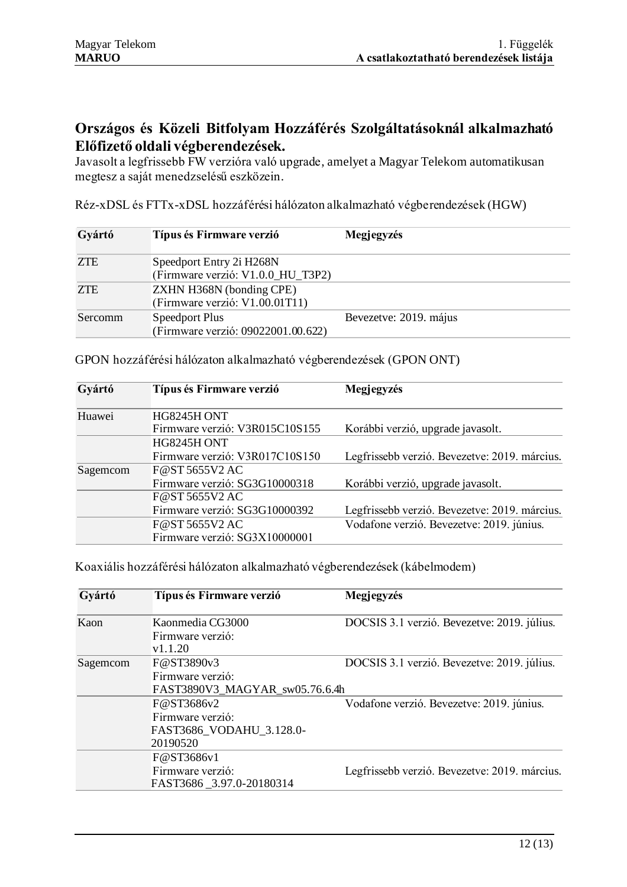## **Országos és Közeli Bitfolyam Hozzáférés Szolgáltatásoknál alkalmazható Előfizető oldali végberendezések.**

Javasolt a legfrissebb FW verzióra való upgrade, amelyet a Magyar Telekom automatikusan megtesz a saját menedzselésű eszközein.

Réz-xDSL és FTTx-xDSL hozzáférési hálózaton alkalmazható végberendezések (HGW)

| Gyártó     | Típus és Firmware verzió                                          | Megjegyzés             |
|------------|-------------------------------------------------------------------|------------------------|
| <b>ZTE</b> | Speedport Entry 2i H268N<br>(Firmware verzió: V1.0.0_HU_T3P2)     |                        |
| ZTE        | <b>ZXHN H368N</b> (bonding CPE)<br>(Firmware verzió: V1.00.01T11) |                        |
| Sercomm    | Speedport Plus<br>(Firmware verzió: 09022001.00.622)              | Bevezetve: 2019. május |

| Gyártó   | Típus és Firmware verzió       | Megjegyzés                                    |  |
|----------|--------------------------------|-----------------------------------------------|--|
| Huawei   | HG8245H ONT                    |                                               |  |
|          | Firmware verzió: V3R015C10S155 | Korábbi verzió, upgrade javasolt.             |  |
|          | HG8245H ONT                    |                                               |  |
|          | Firmware verzió: V3R017C10S150 | Legfrissebb verzió. Bevezetve: 2019. március. |  |
| Sagemcom | F@ST5655V2AC                   |                                               |  |
|          | Firmware verzió: SG3G10000318  | Korábbi verzió, upgrade javasolt.             |  |
|          | F@ST5655V2AC                   |                                               |  |
|          | Firmware verzió: SG3G10000392  | Legfrissebb verzió. Bevezetve: 2019. március. |  |
|          | F@ST5655V2AC                   | Vodafone verzió. Bevezetve: 2019. június.     |  |
|          | Firmware verzió: SG3X10000001  |                                               |  |

GPON hozzáférési hálózaton alkalmazható végberendezések (GPON ONT)

Koaxiális hozzáférési hálózaton alkalmazható végberendezések (kábelmodem)

| Gyártó   | Típus és Firmware verzió       | Megjegyzés                                    |  |
|----------|--------------------------------|-----------------------------------------------|--|
| Kaon     | Kaonmedia CG3000               | DOCSIS 3.1 verzió. Bevezetve: 2019. július.   |  |
|          | Firmware verzió:               |                                               |  |
|          | v1.1.20                        |                                               |  |
| Sagemcom | F@ST3890v3                     | DOCSIS 3.1 verzió. Bevezetve: 2019. július.   |  |
|          | Firmware verzió:               |                                               |  |
|          | FAST3890V3_MAGYAR_sw05.76.6.4h |                                               |  |
|          | F@ST3686v2                     | Vodafone verzió. Bevezetve: 2019. június.     |  |
|          | Firmware verzió:               |                                               |  |
|          | FAST3686_VODAHU_3.128.0-       |                                               |  |
|          | 20190520                       |                                               |  |
|          | F@ST3686v1                     |                                               |  |
|          | Firmware verzió:               | Legfrissebb verzió. Bevezetve: 2019. március. |  |
|          | FAST3686_3.97.0-20180314       |                                               |  |